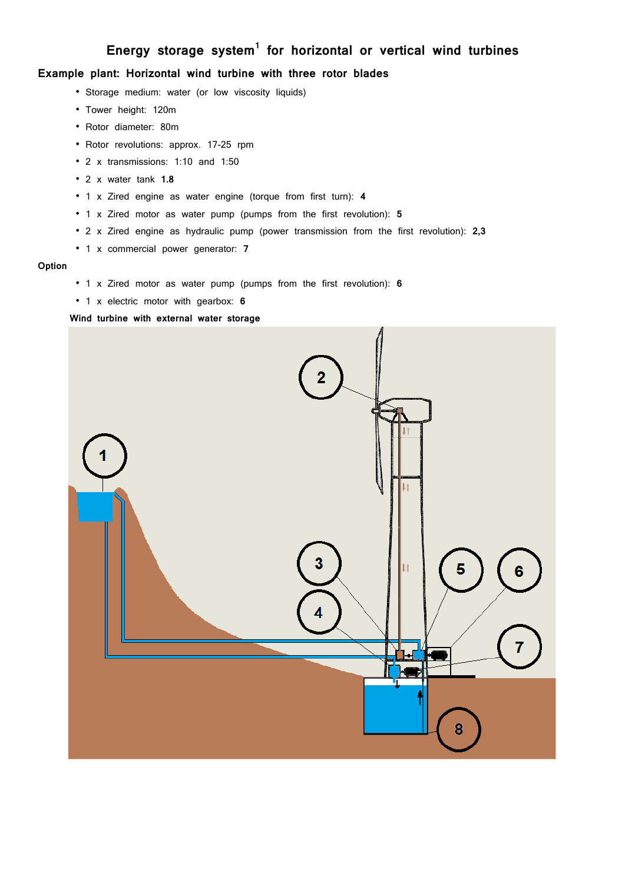# **Energy storage system<sup>1</sup> for horizontal or vertical wind turbines**

# **Example plant: Horizontal wind turbine with three rotor blades**

- Storage medium: water (or low viscosity liquids)
- Tower height: 120m
- " Rotor diameter: 80m
- Rotor revolutions: approx. 17-25 rpm
- 2 x transmissions: 1:10 and 1:50
- " 2 x water tank **1.8**
- " 1 x Zired engine as water engine (torque from first turn): **4**
- " 1 x Zired motor as water pump (pumps from the first revolution): **5**
- " 2 x Zired engine as hydraulic pump (power transmission from the first revolution): **2,3**
- " 1 x commercial power generator: **7**

#### **Option**

- " 1 x Zired motor as water pump (pumps from the first revolution): **6**
- " 1 x electric motor with gearbox: **6**

# **Wind turbine with external water storage**

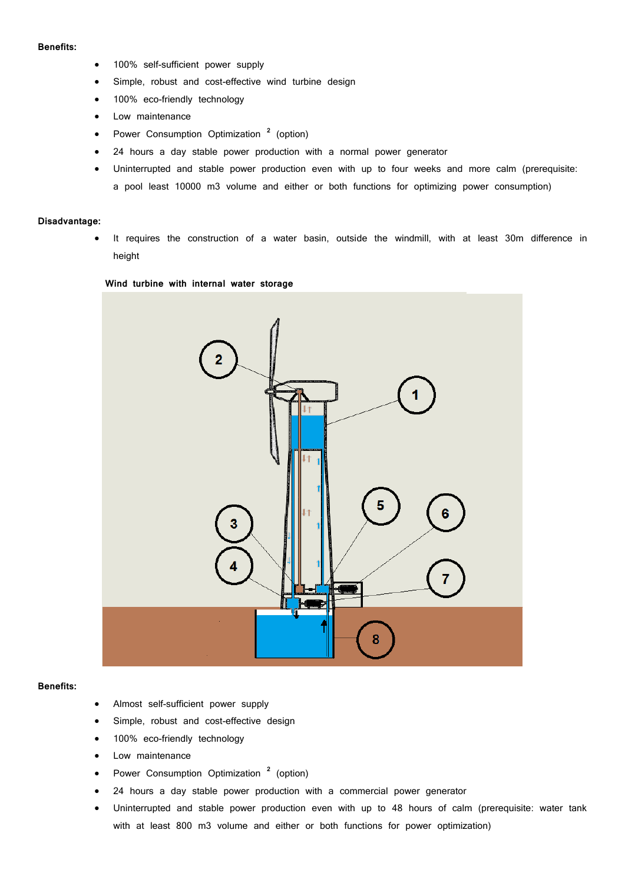#### **Benefits:**

- 100% self-sufficient power supply
- Simple, robust and cost-effective wind turbine design
- 100% eco-friendly technology
- Low maintenance
- **•** Power Consumption Optimization <sup>2</sup> (option)
- 24 hours a day stable power production with a normal power generator
- Uninterrupted and stable power production even with up to four weeks and more calm (prerequisite: a pool least 10000 m3 volume and either or both functions for optimizing power consumption)

#### **Disadvantage:**

 It requires the construction of a water basin, outside the windmill, with at least 30m difference in height

#### **Wind turbine with internal water storage**



## **Benefits:**

- Almost self-sufficient power supply
- Simple, robust and cost-effective design
- 100% eco-friendly technology
- Low maintenance
- **•** Power Consumption Optimization<sup>2</sup> (option)
- 24 hours a day stable power production with a commercial power generator
- Uninterrupted and stable power production even with up to 48 hours of calm (prerequisite: water tank with at least 800 m3 volume and either or both functions for power optimization)